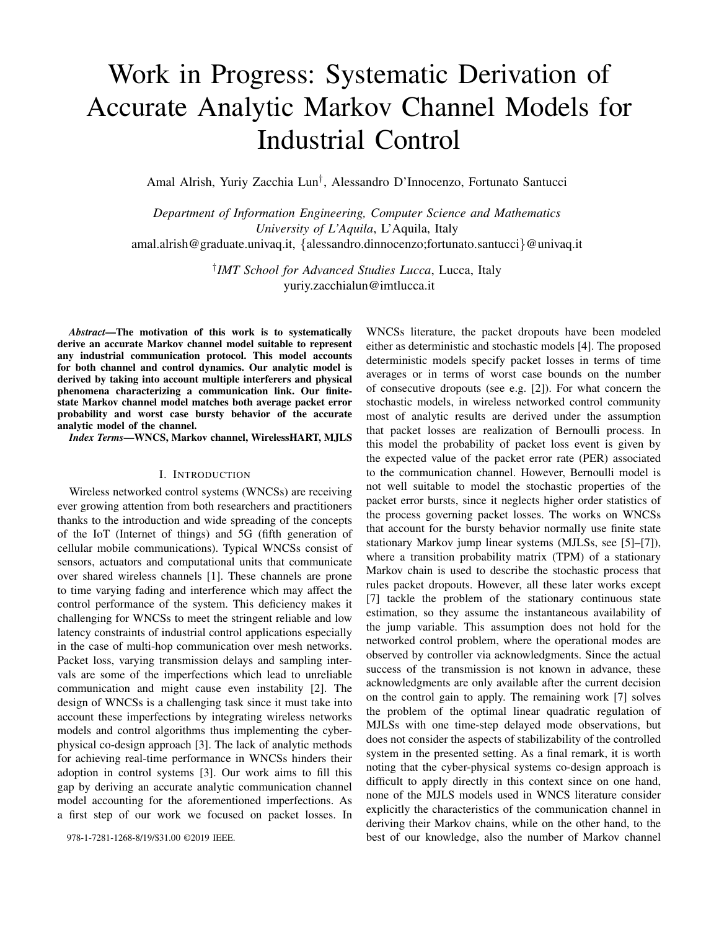# Work in Progress: Systematic Derivation of Accurate Analytic Markov Channel Models for Industrial Control

Amal Alrish, Yuriy Zacchia Lun† , Alessandro D'Innocenzo, Fortunato Santucci

*Department of Information Engineering, Computer Science and Mathematics University of L'Aquila*, L'Aquila, Italy amal.alrish@graduate.univaq.it, {alessandro.dinnocenzo;fortunato.santucci}@univaq.it

> † *IMT School for Advanced Studies Lucca*, Lucca, Italy yuriy.zacchialun@imtlucca.it

*Abstract*—The motivation of this work is to systematically derive an accurate Markov channel model suitable to represent any industrial communication protocol. This model accounts for both channel and control dynamics. Our analytic model is derived by taking into account multiple interferers and physical phenomena characterizing a communication link. Our finitestate Markov channel model matches both average packet error probability and worst case bursty behavior of the accurate analytic model of the channel.

*Index Terms*—WNCS, Markov channel, WirelessHART, MJLS

## I. INTRODUCTION

Wireless networked control systems (WNCSs) are receiving ever growing attention from both researchers and practitioners thanks to the introduction and wide spreading of the concepts of the IoT (Internet of things) and 5G (fifth generation of cellular mobile communications). Typical WNCSs consist of sensors, actuators and computational units that communicate over shared wireless channels [1]. These channels are prone to time varying fading and interference which may affect the control performance of the system. This deficiency makes it challenging for WNCSs to meet the stringent reliable and low latency constraints of industrial control applications especially in the case of multi-hop communication over mesh networks. Packet loss, varying transmission delays and sampling intervals are some of the imperfections which lead to unreliable communication and might cause even instability [2]. The design of WNCSs is a challenging task since it must take into account these imperfections by integrating wireless networks models and control algorithms thus implementing the cyberphysical co-design approach [3]. The lack of analytic methods for achieving real-time performance in WNCSs hinders their adoption in control systems [3]. Our work aims to fill this gap by deriving an accurate analytic communication channel model accounting for the aforementioned imperfections. As a first step of our work we focused on packet losses. In

978-1-7281-1268-8/19/\$31.00 ©2019 IEEE.

WNCSs literature, the packet dropouts have been modeled either as deterministic and stochastic models [4]. The proposed deterministic models specify packet losses in terms of time averages or in terms of worst case bounds on the number of consecutive dropouts (see e.g. [2]). For what concern the stochastic models, in wireless networked control community most of analytic results are derived under the assumption that packet losses are realization of Bernoulli process. In this model the probability of packet loss event is given by the expected value of the packet error rate (PER) associated to the communication channel. However, Bernoulli model is not well suitable to model the stochastic properties of the packet error bursts, since it neglects higher order statistics of the process governing packet losses. The works on WNCSs that account for the bursty behavior normally use finite state stationary Markov jump linear systems (MJLSs, see [5]–[7]), where a transition probability matrix (TPM) of a stationary Markov chain is used to describe the stochastic process that rules packet dropouts. However, all these later works except [7] tackle the problem of the stationary continuous state estimation, so they assume the instantaneous availability of the jump variable. This assumption does not hold for the networked control problem, where the operational modes are observed by controller via acknowledgments. Since the actual success of the transmission is not known in advance, these acknowledgments are only available after the current decision on the control gain to apply. The remaining work [7] solves the problem of the optimal linear quadratic regulation of MJLSs with one time-step delayed mode observations, but does not consider the aspects of stabilizability of the controlled system in the presented setting. As a final remark, it is worth noting that the cyber-physical systems co-design approach is difficult to apply directly in this context since on one hand, none of the MJLS models used in WNCS literature consider explicitly the characteristics of the communication channel in deriving their Markov chains, while on the other hand, to the best of our knowledge, also the number of Markov channel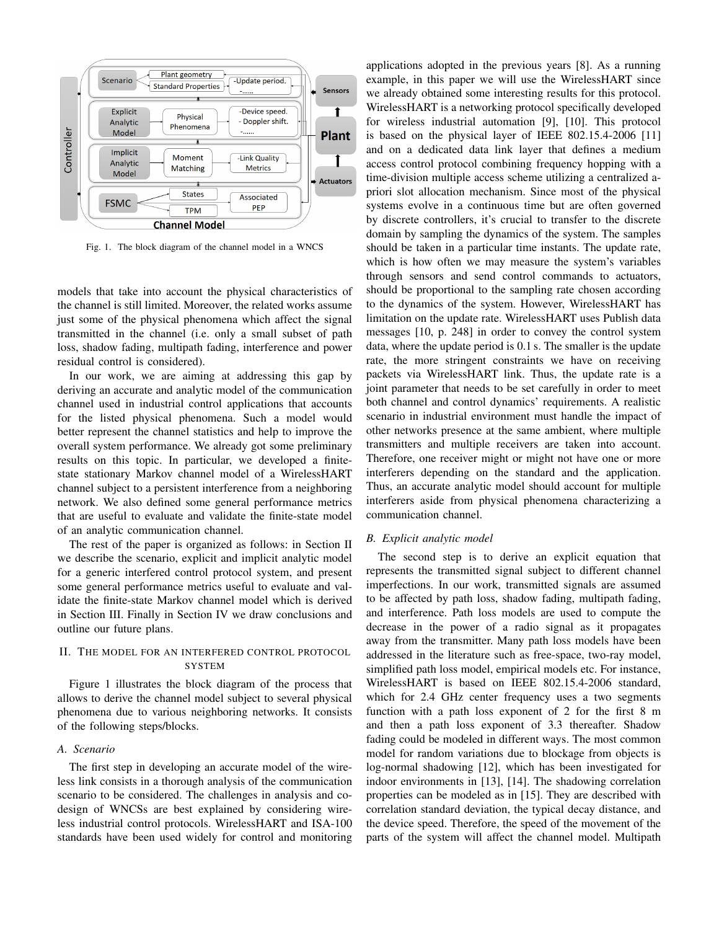

Fig. 1. The block diagram of the channel model in a WNCS

models that take into account the physical characteristics of the channel is still limited. Moreover, the related works assume just some of the physical phenomena which affect the signal transmitted in the channel (i.e. only a small subset of path loss, shadow fading, multipath fading, interference and power residual control is considered).

In our work, we are aiming at addressing this gap by deriving an accurate and analytic model of the communication channel used in industrial control applications that accounts for the listed physical phenomena. Such a model would better represent the channel statistics and help to improve the overall system performance. We already got some preliminary results on this topic. In particular, we developed a finitestate stationary Markov channel model of a WirelessHART channel subject to a persistent interference from a neighboring network. We also defined some general performance metrics that are useful to evaluate and validate the finite-state model of an analytic communication channel.

The rest of the paper is organized as follows: in Section II we describe the scenario, explicit and implicit analytic model for a generic interfered control protocol system, and present some general performance metrics useful to evaluate and validate the finite-state Markov channel model which is derived in Section III. Finally in Section IV we draw conclusions and outline our future plans.

# II. THE MODEL FOR AN INTERFERED CONTROL PROTOCOL SYSTEM

Figure 1 illustrates the block diagram of the process that allows to derive the channel model subject to several physical phenomena due to various neighboring networks. It consists of the following steps/blocks.

## *A. Scenario*

The first step in developing an accurate model of the wireless link consists in a thorough analysis of the communication scenario to be considered. The challenges in analysis and codesign of WNCSs are best explained by considering wireless industrial control protocols. WirelessHART and ISA-100 standards have been used widely for control and monitoring

applications adopted in the previous years [8]. As a running example, in this paper we will use the WirelessHART since we already obtained some interesting results for this protocol. WirelessHART is a networking protocol specifically developed for wireless industrial automation [9], [10]. This protocol is based on the physical layer of IEEE 802.15.4-2006 [11] and on a dedicated data link layer that defines a medium access control protocol combining frequency hopping with a time-division multiple access scheme utilizing a centralized apriori slot allocation mechanism. Since most of the physical systems evolve in a continuous time but are often governed by discrete controllers, it's crucial to transfer to the discrete domain by sampling the dynamics of the system. The samples should be taken in a particular time instants. The update rate, which is how often we may measure the system's variables through sensors and send control commands to actuators, should be proportional to the sampling rate chosen according to the dynamics of the system. However, WirelessHART has limitation on the update rate. WirelessHART uses Publish data messages [10, p. 248] in order to convey the control system data, where the update period is 0.1 s. The smaller is the update rate, the more stringent constraints we have on receiving packets via WirelessHART link. Thus, the update rate is a joint parameter that needs to be set carefully in order to meet both channel and control dynamics' requirements. A realistic scenario in industrial environment must handle the impact of other networks presence at the same ambient, where multiple transmitters and multiple receivers are taken into account. Therefore, one receiver might or might not have one or more interferers depending on the standard and the application. Thus, an accurate analytic model should account for multiple interferers aside from physical phenomena characterizing a communication channel.

#### *B. Explicit analytic model*

The second step is to derive an explicit equation that represents the transmitted signal subject to different channel imperfections. In our work, transmitted signals are assumed to be affected by path loss, shadow fading, multipath fading, and interference. Path loss models are used to compute the decrease in the power of a radio signal as it propagates away from the transmitter. Many path loss models have been addressed in the literature such as free-space, two-ray model, simplified path loss model, empirical models etc. For instance, WirelessHART is based on IEEE 802.15.4-2006 standard, which for 2.4 GHz center frequency uses a two segments function with a path loss exponent of 2 for the first 8 m and then a path loss exponent of 3.3 thereafter. Shadow fading could be modeled in different ways. The most common model for random variations due to blockage from objects is log-normal shadowing [12], which has been investigated for indoor environments in [13], [14]. The shadowing correlation properties can be modeled as in [15]. They are described with correlation standard deviation, the typical decay distance, and the device speed. Therefore, the speed of the movement of the parts of the system will affect the channel model. Multipath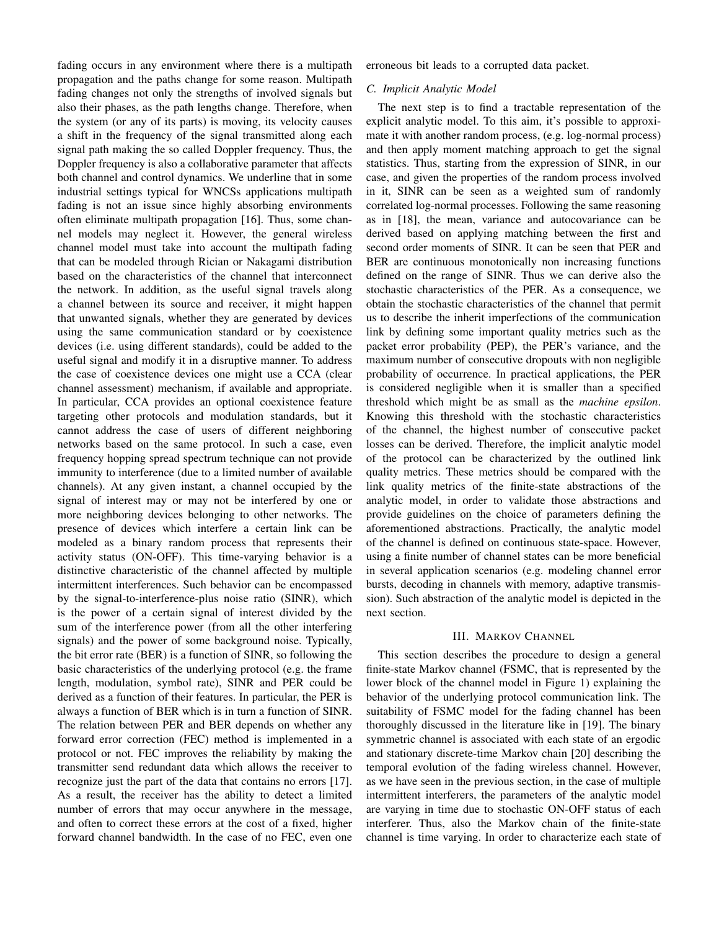fading occurs in any environment where there is a multipath propagation and the paths change for some reason. Multipath fading changes not only the strengths of involved signals but also their phases, as the path lengths change. Therefore, when the system (or any of its parts) is moving, its velocity causes a shift in the frequency of the signal transmitted along each signal path making the so called Doppler frequency. Thus, the Doppler frequency is also a collaborative parameter that affects both channel and control dynamics. We underline that in some industrial settings typical for WNCSs applications multipath fading is not an issue since highly absorbing environments often eliminate multipath propagation [16]. Thus, some channel models may neglect it. However, the general wireless channel model must take into account the multipath fading that can be modeled through Rician or Nakagami distribution based on the characteristics of the channel that interconnect the network. In addition, as the useful signal travels along a channel between its source and receiver, it might happen that unwanted signals, whether they are generated by devices using the same communication standard or by coexistence devices (i.e. using different standards), could be added to the useful signal and modify it in a disruptive manner. To address the case of coexistence devices one might use a CCA (clear channel assessment) mechanism, if available and appropriate. In particular, CCA provides an optional coexistence feature targeting other protocols and modulation standards, but it cannot address the case of users of different neighboring networks based on the same protocol. In such a case, even frequency hopping spread spectrum technique can not provide immunity to interference (due to a limited number of available channels). At any given instant, a channel occupied by the signal of interest may or may not be interfered by one or more neighboring devices belonging to other networks. The presence of devices which interfere a certain link can be modeled as a binary random process that represents their activity status (ON-OFF). This time-varying behavior is a distinctive characteristic of the channel affected by multiple intermittent interferences. Such behavior can be encompassed by the signal-to-interference-plus noise ratio (SINR), which is the power of a certain signal of interest divided by the sum of the interference power (from all the other interfering signals) and the power of some background noise. Typically, the bit error rate (BER) is a function of SINR, so following the basic characteristics of the underlying protocol (e.g. the frame length, modulation, symbol rate), SINR and PER could be derived as a function of their features. In particular, the PER is always a function of BER which is in turn a function of SINR. The relation between PER and BER depends on whether any forward error correction (FEC) method is implemented in a protocol or not. FEC improves the reliability by making the transmitter send redundant data which allows the receiver to recognize just the part of the data that contains no errors [17]. As a result, the receiver has the ability to detect a limited number of errors that may occur anywhere in the message, and often to correct these errors at the cost of a fixed, higher forward channel bandwidth. In the case of no FEC, even one

erroneous bit leads to a corrupted data packet.

# *C. Implicit Analytic Model*

The next step is to find a tractable representation of the explicit analytic model. To this aim, it's possible to approximate it with another random process, (e.g. log-normal process) and then apply moment matching approach to get the signal statistics. Thus, starting from the expression of SINR, in our case, and given the properties of the random process involved in it, SINR can be seen as a weighted sum of randomly correlated log-normal processes. Following the same reasoning as in [18], the mean, variance and autocovariance can be derived based on applying matching between the first and second order moments of SINR. It can be seen that PER and BER are continuous monotonically non increasing functions defined on the range of SINR. Thus we can derive also the stochastic characteristics of the PER. As a consequence, we obtain the stochastic characteristics of the channel that permit us to describe the inherit imperfections of the communication link by defining some important quality metrics such as the packet error probability (PEP), the PER's variance, and the maximum number of consecutive dropouts with non negligible probability of occurrence. In practical applications, the PER is considered negligible when it is smaller than a specified threshold which might be as small as the *machine epsilon*. Knowing this threshold with the stochastic characteristics of the channel, the highest number of consecutive packet losses can be derived. Therefore, the implicit analytic model of the protocol can be characterized by the outlined link quality metrics. These metrics should be compared with the link quality metrics of the finite-state abstractions of the analytic model, in order to validate those abstractions and provide guidelines on the choice of parameters defining the aforementioned abstractions. Practically, the analytic model of the channel is defined on continuous state-space. However, using a finite number of channel states can be more beneficial in several application scenarios (e.g. modeling channel error bursts, decoding in channels with memory, adaptive transmission). Such abstraction of the analytic model is depicted in the next section.

#### III. MARKOV CHANNEL

This section describes the procedure to design a general finite-state Markov channel (FSMC, that is represented by the lower block of the channel model in Figure 1) explaining the behavior of the underlying protocol communication link. The suitability of FSMC model for the fading channel has been thoroughly discussed in the literature like in [19]. The binary symmetric channel is associated with each state of an ergodic and stationary discrete-time Markov chain [20] describing the temporal evolution of the fading wireless channel. However, as we have seen in the previous section, in the case of multiple intermittent interferers, the parameters of the analytic model are varying in time due to stochastic ON-OFF status of each interferer. Thus, also the Markov chain of the finite-state channel is time varying. In order to characterize each state of